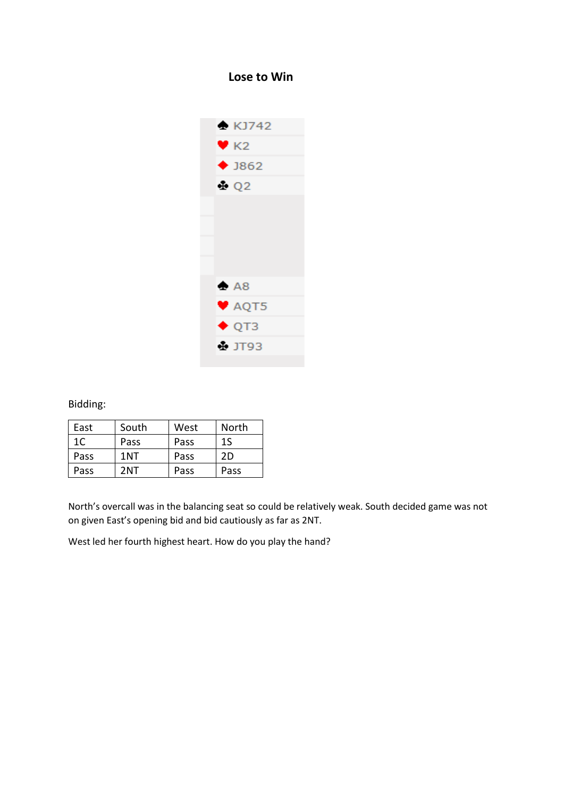## **Lose to Win**



Bidding:

| East           | South | West | North |
|----------------|-------|------|-------|
| 1 <sup>C</sup> | Pass  | Pass | 1S    |
| Pass           | 1NT   | Pass | 2D    |
| Pass           | 2NT   | Pass | Pass  |

North's overcall was in the balancing seat so could be relatively weak. South decided game was not on given East's opening bid and bid cautiously as far as 2NT.

West led her fourth highest heart. How do you play the hand?